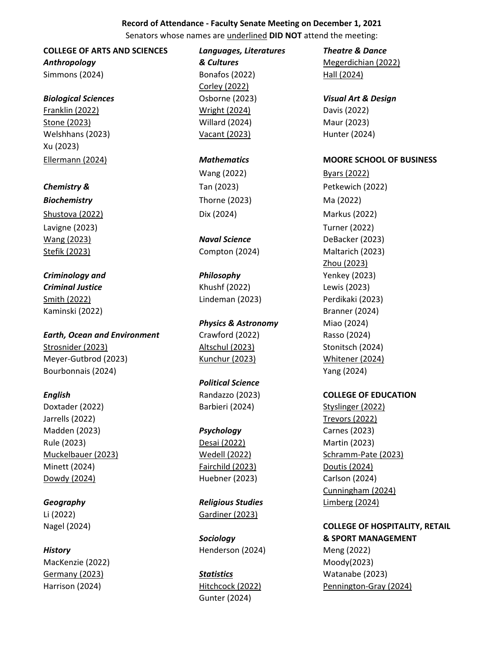## **Record of Attendance - Faculty Senate Meeting on December 1, 2021**

Senators whose names are underlined **DID NOT** attend the meeting:

*Anthropology & Cultures* Megerdichian (2022)

Franklin (2022) Wright (2024) Davis (2022) Stone (2023) Willard (2024) Maur (2023) Welshhans (2023) Vacant (2023) Hunter (2024) Xu (2023)

*Biochemistry* Thorne (2023) Ma (2022) Shustova (2022) **Dix (2024)** Dix (2024) Markus (2022) Lavigne (2023) Turner (2022)

*Criminology and Philosophy* Yenkey (2023) *Criminal Justice* Khushf (2022) Lewis (2023) Smith (2022) Lindeman (2023) Perdikaki (2023) Kaminski (2022) Branner (2024)

*Earth, Ocean and Environment* Crawford (2022) Rasso (2024) Strosnider (2023) Altschul (2023) Stonitsch (2024) Meyer-Gutbrod (2023) Kunchur (2023) Whitener (2024) Bourbonnais (2024) Yang (2024)

Doxtader (2022) Barbieri (2024) Styslinger (2022) Jarrells (2022) Trevors (2022) Madden (2023) *Psychology* Carnes (2023) Rule (2023) Desai (2022) Martin (2023) Minett (2024) Fairchild (2023) Doutis (2024) Dowdy (2024) Huebner (2023) Carlson (2024)

MacKenzie (2022) Moody(2023) Germany (2023) *Statistics* Watanabe (2023)

**COLLEGE OF ARTS AND SCIENCES** *Languages, Literatures Theatre & Dance*

Simmons (2024) **Bonafos (2022)** Hall (2024) Corley (2022)

**Physics & Astronomy** Miao (2024)

*Political Science*

*Geography Religious Studies* Limberg (2024) Li (2022) Gardiner (2023)

**History Henderson (2024)** Meng (2022)

Gunter (2024)

*Biological Sciences* Osborne (2023) *Visual Art & Design*

## Ellermann (2024) *Mathematics* **MOORE SCHOOL OF BUSINESS**

Wang (2022) Byars (2022) **Chemistry & Chemistry & Chemistry & Chemistry & Chemistry & Chemistry & Chemistry & Chemistry Additional Petkewich (2022)** Wang (2023) *Naval Science* DeBacker (2023) Stefik (2023) Compton (2024) Maltarich (2023) Zhou (2023)

## *English* Randazzo (2023) **COLLEGE OF EDUCATION**

Muckelbauer (2023) Wedell (2022) Schramm-Pate (2023) Cunningham (2024)

## Nagel (2024) **COLLEGE OF HOSPITALITY, RETAIL** *Sociology* **& SPORT MANAGEMENT**

Harrison (2024) Hitchcock (2022) Pennington-Gray (2024)